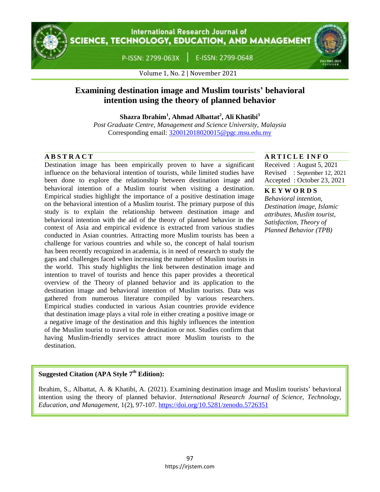

# **International Research Journal of** CIENCE, TECHNOLOGY, EDUCATION, AND MANAGEMENT

P-ISSN: 2799-063X |

E-ISSN: 2799-0648



Volume 1, No. 2 | November 2021

# **Examining destination image and Muslim tourists' behavioral intention using the theory of planned behavior**

**Shazra Ibrahim<sup>1</sup> , Ahmad Albattat<sup>2</sup> , Ali Khatibi<sup>3</sup>**

*Post Graduate Centre, Management and Science University, Malaysia* Corresponding email: [320012018020015@pgc.msu.edu.my](mailto:320012018020015@pgc.msu.edu.my)

Destination image has been empirically proven to have a significant influence on the behavioral intention of tourists, while limited studies have been done to explore the relationship between destination image and behavioral intention of a Muslim tourist when visiting a destination. Empirical studies highlight the importance of a positive destination image on the behavioral intention of a Muslim tourist. The primary purpose of this study is to explain the relationship between destination image and behavioral intention with the aid of the theory of planned behavior in the context of Asia and empirical evidence is extracted from various studies conducted in Asian countries. Attracting more Muslim tourists has been a challenge for various countries and while so, the concept of halal tourism has been recently recognized in academia, is in need of research to study the gaps and challenges faced when increasing the number of Muslim tourists in the world. This study highlights the link between destination image and intention to travel of tourists and hence this paper provides a theoretical overview of the Theory of planned behavior and its application to the destination image and behavioral intention of Muslim tourists. Data was gathered from numerous literature compiled by various researchers. Empirical studies conducted in various Asian countries provide evidence that destination image plays a vital role in either creating a positive image or a negative image of the destination and this highly influences the intention of the Muslim tourist to travel to the destination or not. Studies confirm that having Muslim-friendly services attract more Muslim tourists to the destination.

## **A B S T R A C T A R T I C L E I N F O**

Received : August 5, 2021 Revised : September 12, 2021 Accepted : October 23, 2021

#### **K E Y W O R D S**

*Behavioral intention, Destination image, Islamic attributes, Muslim tourist, Satisfaction, Theory of Planned Behavior (TPB)*

# **Suggested Citation (APA Style 7th Edition):**

Ibrahim, S., Albattat, A. & Khatibi, A. (2021). Examining destination image and Muslim tourists' behavioral intention using the theory of planned behavior. *International Research Journal of Science, Technology, Education, and Management*, 1(2), 97-107. https://doi.org/10.5281/zenodo.5726351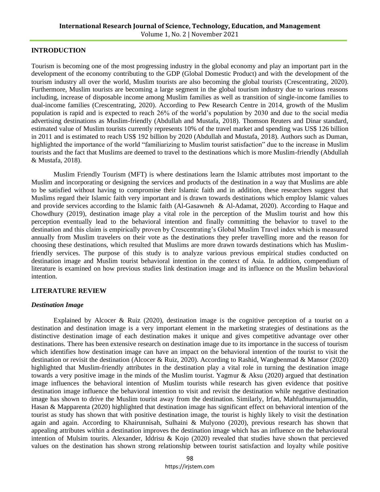### **INTRODUCTION**

Tourism is becoming one of the most progressing industry in the global economy and play an important part in the development of the economy contributing to the GDP (Global Domestic Product) and with the development of the tourism industry all over the world, Muslim tourists are also becoming the global tourists (Crescentrating, 2020). Furthermore, Muslim tourists are becoming a large segment in the global tourism industry due to various reasons including, increase of disposable income among Muslim families as well as transition of single-income families to dual-income families (Crescentrating, 2020). According to Pew Research Centre in 2014, growth of the Muslim population is rapid and is expected to reach 26% of the world's population by 2030 and due to the social media advertising destinations as Muslim-friendly (Abdullah and Mustafa, 2018). Thomson Reuters and Dinar standard, estimated value of Muslim tourists currently represents 10% of the travel market and spending was US\$ 126 billion in 2011 and is estimated to reach US\$ 192 billion by 2020 (Abdullah and Mustafa, 2018). Authors such as Duman, highlighted the importance of the world "familiarizing to Muslim tourist satisfaction" due to the increase in Muslim tourists and the fact that Muslims are deemed to travel to the destinations which is more Muslim-friendly (Abdullah & Mustafa, 2018).

Muslim Friendly Tourism (MFT) is where destinations learn the Islamic attributes most important to the Muslim and incorporating or designing the services and products of the destination in a way that Muslims are able to be satisfied without having to compromise their Islamic faith and in addition, these researchers suggest that Muslims regard their Islamic faith very important and is drawn towards destinations which employ Islamic values and provide services according to the Islamic faith (Al-Gasawneh & Al-Adamat, 2020). According to Haque and Chowdhury (2019), destination image play a vital role in the perception of the Muslim tourist and how this perception eventually lead to the behavioral intention and finally committing the behavior to travel to the destination and this claim is empirically proven by Crescentrating's Global Muslim Travel index which is measured annually from Muslim travelers on their vote as the destinations they prefer travelling more and the reason for choosing these destinations, which resulted that Muslims are more drawn towards destinations which has Muslimfriendly services. The purpose of this study is to analyze various previous empirical studies conducted on destination image and Muslim tourist behavioral intention in the context of Asia. In addition, compendium of literature is examined on how previous studies link destination image and its influence on the Muslim behavioral intention.

### **LITERATURE REVIEW**

### *Destination Image*

Explained by Alcocer & Ruiz (2020), destination image is the cognitive perception of a tourist on a destination and destination image is a very important element in the marketing strategies of destinations as the distinctive destination image of each destination makes it unique and gives competitive advantage over other destinations. There has been extensive research on destination image due to its importance in the success of tourism which identifies how destination image can have an impact on the behavioral intention of the tourist to visit the destination or revisit the destination (Alcocer & Ruiz, 2020). According to Rashid, Wangbenmad & Mansor (2020) highlighted that Muslim-friendly attributes in the destination play a vital role in turning the destination image towards a very positive image in the minds of the Muslim tourist. Yagmur & Aksu (2020) argued that destination image influences the behavioral intention of Muslim tourists while research has given evidence that positive destination image influence the behavioral intention to visit and revisit the destination while negative destination image has shown to drive the Muslim tourist away from the destination. Similarly, Irfan, Mahfudnurnajamuddin, Hasan & Mapparenta (2020) highlighted that destination image has significant effect on behavioral intention of the tourist as study has shown that with positive destination image, the tourist is highly likely to visit the destination again and again. According to Khairunnisah, Sulhaini & Mulyono (2020), previous research has shown that appealing attributes within a destination improves the destination image which has an influence on the behavioural intention of Mulsim tourits. Alexander, Iddrisu & Kojo (2020) revealed that studies have shown that percieved values on the destination has shown strong relationship between tourist satisfaction and loyalty while positive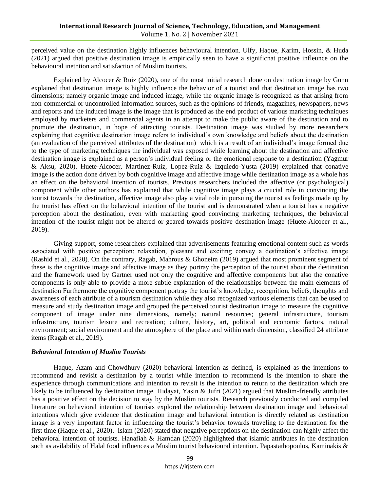perceived value on the destination highly influences behavioural intention. Ulfy, Haque, Karim, Hossin, & Huda (2021) argued that positive destination image is empirically seen to have a significnat positive infleunce on the behavioural inetntion and satisfaction of Muslim tourists.

Explained by Alcocer & Ruiz (2020), one of the most initial research done on destination image by Gunn explained that destination image is highly influence the behavior of a tourist and that destination image has two dimensions; namely organic image and induced image, while the organic image is recognized as that arising from non-commercial or uncontrolled information sources, such as the opinions of friends, magazines, newspapers, news and reports and the induced image is the image that is produced as the end product of various marketing techniques employed by marketers and commercial agents in an attempt to make the public aware of the destination and to promote the destination, in hope of attracting tourists. Destination image was studied by more researchers explaining that cognitive destination image refers to individual's own knowledge and beliefs about the destination (an evaluation of the perceived attributes of the destination) which is a result of an individual's image formed due to the type of marketing techniques the individual was exposed while learning about the destination and affective destination image is explained as a person's individual feeling or the emotional response to a destination (Yagmur & Aksu, 2020). Huete-Alcocer, Martinez-Ruiz, Lopez-Ruiz & Izquiedo-Yusta (2019) explained that conative image is the action done driven by both cognitive image and affective image while destination image as a whole has an effect on the behavioral intention of tourists. Previous researchers included the affective (or psychological) component while other authors has explained that while cognitive image plays a crucial role in convincing the tourist towards the destination, affective image also play a vital role in pursuing the tourist as feelings made up by the tourist has effect on the behavioral intention of the tourist and is demonstrated when a tourist has a negative perception about the destination, even with marketing good convincing marketing techniques, the behavioral intention of the tourist might not be altered or geared towards positive destination image (Huete-Alcocer et al., 2019).

Giving support, some researchers explained that advertisements featuring emotional content such as words associated with positive perception; relaxation, pleasant and exciting convey a destination's affective image (Rashid et al., 2020). On the contrary, Ragab, Mahrous & Ghoneim (2019) argued that most prominent segment of these is the cognitive image and affective image as they portray the perception of the tourist about the destination and the framework used by Gartner used not only the cognitive and affective components but also the conative components is only able to provide a more subtle explanation of the relationships between the main elements of destination Furthermore the cognitive component portray the tourist's knowledge, recognition, beliefs, thoughts and awareness of each attribute of a tourism destination while they also recognized various elements that can be used to measure and study destination image and grouped the perceived tourist destination image to measure the cognitive component of image under nine dimensions, namely; natural resources; general infrastructure, tourism infrastructure, tourism leisure and recreation; culture, history, art, political and economic factors, natural environment; social environment and the atmosphere of the place and within each dimension, classified 24 attribute items (Ragab et al., 2019).

#### *Behavioral Intention of Muslim Tourists*

Haque, Azam and Chowdhury (2020) behavioral intention as defined, is explained as the intentions to recommend and revisit a destination by a tourist while intention to recommend is the intention to share the experience through communications and intention to revisit is the intention to return to the destination which are likely to be influenced by destination image. Hidayat, Yasin & Jufri (2021) argued that Muslim-friendly attributes has a positive effect on the decision to stay by the Muslim tourists. Research previously conducted and compiled literature on behavioral intention of tourists explored the relationship between destination image and behavioral intentions which give evidence that destination image and behavioral intention is directly related as destination image is a very important factor in influencing the tourist's behavior towards traveling to the destination for the first time (Haque et al., 2020). Islam (2020) stated that negative perceptions on the destination can highly affect the behavioral intention of tourists. Hanafiah & Hamdan (2020) highlighted that islamic attributes in the destination such as avilability of Halal food influences a Muslim tourist behavioural intention. Papastathopoulos, Kaminakis &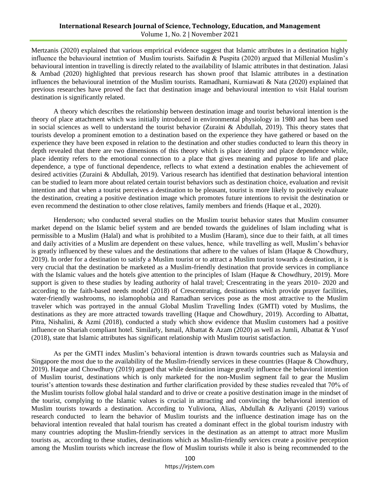Mertzanis (2020) explained that various emprirical evidence suggest that Islamic attributes in a destination highly influence the behavioural inetntion of Muslim tourists. Saifudin & Puspita (2020) argued that Millenial Muslim's behavioural intention in travelling is directly related to the availability of Islamic attributes in that destination. Jalasi & Ambad (2020) highlighted that previous research has shown proof that Islamic attributes in a destination influences the behavioural inetntion of the Muslim tourists. Ramadhani, Kurniawati & Nata (2020) explained that previous researches have proved the fact that destination image and behavioural intention to visit Halal tourism destination is significantly related.

A theory which describes the relationship between destination image and tourist behavioral intention is the theory of place attachment which was initially introduced in environmental physiology in 1980 and has been used in social sciences as well to understand the tourist behavior (Zuraini & Abdullah, 2019). This theory states that tourists develop a prominent emotion to a destination based on the experience they have gathered or based on the experience they have been exposed in relation to the destination and other studies conducted to learn this theory in depth revealed that there are two dimensions of this theory which is place identity and place dependence while, place identity refers to the emotional connection to a place that gives meaning and purpose to life and place dependence, a type of functional dependence, reflects to what extend a destination enables the achievement of desired activities (Zuraini & Abdullah, 2019). Various research has identified that destination behavioral intention can be studied to learn more about related certain tourist behaviors such as destination choice, evaluation and revisit intention and that when a tourist perceives a destination to be pleasant, tourist is more likely to positively evaluate the destination, creating a positive destination image which promotes future intentions to revisit the destination or even recommend the destination to other close relatives, family members and friends (Haque et al., 2020).

Henderson; who conducted several studies on the Muslim tourist behavior states that Muslim consumer market depend on the Islamic belief system and are bended towards the guidelines of Islam including what is permissible to a Muslim (Halal) and what is prohibited to a Muslim (Haram), since due to their faith, at all times and daily activities of a Muslim are dependent on these values, hence, while travelling as well, Muslim's behavior is greatly influenced by these values and the destinations that adhere to the values of Islam (Haque & Chowdhury, 2019). In order for a destination to satisfy a Muslim tourist or to attract a Muslim tourist towards a destination, it is very crucial that the destination be marketed as a Muslim-friendly destination that provide services in compliance with the Islamic values and the hotels give attention to the principles of Islam (Haque & Chowdhury, 2019). More support is given to these studies by leading authority of halal travel; Crescentrating in the years 2010- 2020 and according to the faith-based needs model (2018) of Crescentrating, destinations which provide prayer facilities, water-friendly washrooms, no islamophobia and Ramadhan services pose as the most attractive to the Muslim traveler which was portrayed in the annual Global Muslim Travelling Index (GMTI) voted by Muslims, the destinations as they are more attracted towards travelling (Haque and Chowdhury, 2019). According to Albattat, Pitra, Nishalini, & Azmi (2018), conducted a study which show evidence that Muslim customers had a positive influence on Shariah compliant hotel. Similarly, Ismail, Albattat & Azam (2020) as well as Jumli, Albattat & Yusof (2018), state that Islamic attributes has significant relationship with Muslim tourist satisfaction.

As per the GMTI index Muslim's behavioral intention is drawn towards countries such as Malaysia and Singapore the most due to the availability of the Muslim-friendly services in these countries (Haque & Chowdhury, 2019). Haque and Chowdhury (2019) argued that while destination image greatly influence the behavioral intention of Muslim tourist, destinations which is only marketed for the non-Muslim segment fail to gear the Muslim tourist's attention towards these destination and further clarification provided by these studies revealed that 70% of the Muslim tourists follow global halal standard and to drive or create a positive destination image in the mindset of the tourist, complying to the Islamic values is crucial in attracting and convincing the behavioral intention of Muslim tourists towards a destination. According to Yuliviona, Alias, Abdullah & Azliyanti (2019) various research conducted to learn the behavior of Muslim tourists and the influence destination image has on the behavioral intention revealed that halal tourism has created a dominant effect in the global tourism industry with many countries adopting the Muslim-friendly services in the destination as an attempt to attract more Muslim tourists as, according to these studies, destinations which as Muslim-friendly services create a positive perception among the Muslim tourists which increase the flow of Muslim tourists while it also is being recommended to the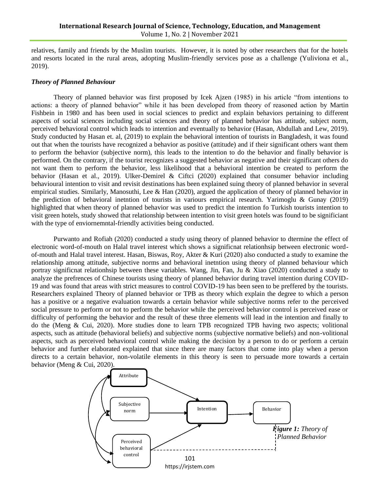relatives, family and friends by the Muslim tourists. However, it is noted by other researchers that for the hotels and resorts located in the rural areas, adopting Muslim-friendly services pose as a challenge (Yuliviona et al., 2019).

### *Theory of Planned Behaviour*

Theory of planned behavior was first proposed by Icek Ajzen (1985) in his article "from intentions to actions: a theory of planned behavior" while it has been developed from theory of reasoned action by Martin Fishbein in 1980 and has been used in social sciences to predict and explain behaviors pertaining to different aspects of social sciences including social sciences and theory of planned behavior has attitude, subject norm, perceived behavioral control which leads to intention and eventually to behavior (Hasan, Abdullah and Lew, 2019). Study conducted by Hasan et. al, (2019) to explain the behavioral intention of tourists in Bangladesh, it was found out that when the tourists have recognized a behavior as positive (attitude) and if their significant others want them to perform the behavior (subjective norm), this leads to the intention to do the behavior and finally behavior is performed. On the contrary, if the tourist recognizes a suggested behavior as negative and their significant others do not want them to perform the behavior, less likelihood that a behavioral intention be created to perform the behavior (Hasan et al., 2019). Ulker-Demirel & Ciftci (2020) explained that consumer behavior including behavioural intention to visit and revisit destinations has been explained suing theory of planned behavior in several empirical studies. Similarly, Manosuthi, Lee & Han (2020), argued the application of theory of planned behavior in the prediction of behavioral inetntion of tourists in variours empirical research. Yarimoglu & Gunay (2019) highlighted that when theory of planned behavior was used to predict the intention fo Turkish tourists intention to visit green hotels, study showed that relationship between intention to visit green hotels was found to be significiant with the type of enviornemntal-friendly activities being conducted.

Purwanto and Rofiah (2020) conducted a study using theory of planned behavior to dtermine the effect of electronic word-of-mouth on Halal travel interest which shows a significnat relationhsip between electronic wordof-mouth and Halal travel interest. Hasan, Biswas, Roy, Akter & Kuri (2020) also conducted a study to examine the relationship among attitude, subjective norms and behavioral inetntion using theory of planned behaviour which portray significnat relationhsip between these variables. Wang, Jin, Fan, Ju & Xiao (2020) conducted a study to analyze the prefrences of Chinese tourists using theory of planned behavior during travel intention during COVID-19 and was found that areas with strict measures to control COVID-19 has been seen to be preffered by the tourists. Researchers explained Theory of planned behavior or TPB as theory which explain the degree to which a person has a positive or a negative evaluation towards a certain behavior while subjective norms refer to the perceived social pressure to perform or not to perform the behavior while the perceived behavior control is perceived ease or difficulty of performing the behavior and the result of these three elements will lead in the intention and finally to do the (Meng & Cui, 2020). More studies done to learn TPB recognized TPB having two aspects; volitional aspects, such as attitude (behavioral beliefs) and subjective norms (subjective normative beliefs) and non-volitional aspects, such as perceived behavioral control while making the decision by a person to do or perform a certain behavior and further elaborated explained that since there are many factors that come into play when a person directs to a certain behavior, non-volatile elements in this theory is seen to persuade more towards a certain behavior (Meng & Cui, 2020).

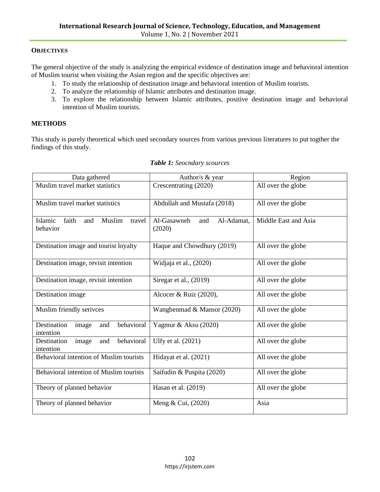# **OBJECTIVES**

The general objective of the study is analyzing the empirical evidence of destination image and behavioral intention of Muslim tourist when visiting the Asian region and the specific objectives are:

- 1. To study the relationship of destination image and behavioral intention of Muslim tourists.
- 2. To analyze the relationship of Islamic attributes and destination image.
- 3. To explore the relationship between Islamic attributes, positive destination image and behavioral intention of Muslim tourists.

# **METHODS**

This study is purely theoretical which used secondary sources from various previous literatures to put togther the findings of this study.

| Data gathered                                           | Author/s & year                            | Region               |
|---------------------------------------------------------|--------------------------------------------|----------------------|
| Muslim travel market statistics                         | Crescentrating (2020)                      | All over the globe   |
| Muslim travel market statistics                         | Abdullah and Mustafa (2018)                | All over the globe   |
| Islamic<br>faith<br>Muslim<br>and<br>travel<br>behavior | Al-Adamat,<br>Al-Gasawneh<br>and<br>(2020) | Middle East and Asia |
| Destination image and tourist loyalty                   | Haque and Chowdhury (2019)                 | All over the globe   |
| Destination image, revisit intention                    | Widjaja et al., (2020)                     | All over the globe   |
| Destination image, revisit intention                    | Siregar et al., (2019)                     | All over the globe   |
| Destination image                                       | Alcocer & Ruiz (2020),                     | All over the globe   |
| Muslim friendly serivces                                | Wangbenmad & Mansor (2020)                 | All over the globe   |
| behavioral<br>Destination<br>image<br>and<br>intention  | Yagmur & Aksu (2020)                       | All over the globe   |
| behavioral<br>and<br>Destination<br>image<br>intention  | Ulfy et al. (2021)                         | All over the globe   |
| Behavioral intention of Muslim tourists                 | Hidayat et al. (2021)                      | All over the globe   |
| Behavioral intention of Muslim tourists                 | Saifudin & Puspita (2020)                  | All over the globe   |
| Theory of planned behavior                              | Hasan et al. (2019)                        | All over the globe   |
| Theory of planned behavior                              | Meng & Cui, (2020)                         | Asia                 |

### *Table 1: Seocndary scources*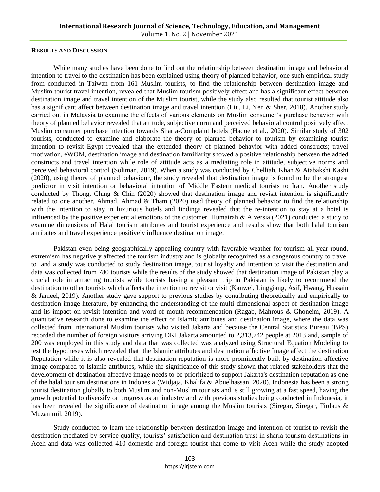#### **RESULTS AND DISCUSSION**

While many studies have been done to find out the relationship between destination image and behavioral intention to travel to the destination has been explained using theory of planned behavior, one such empirical study from conducted in Taiwan from 161 Muslim tourists, to find the relationship between destination image and Muslim tourist travel intention, revealed that Muslim tourism positively effect and has a significant effect between destination image and travel intention of the Muslim tourist, while the study also resulted that tourist attitude also has a significant affect between destination image and travel intention (Liu, Li, Yen & Sher, 2018). Another study carried out in Malaysia to examine the effects of various elements on Muslim consumer's purchase behavior with theory of planned behavior revealed that attitude, subjective norm and perceived behavioral control positively affect Muslim consumer purchase intention towards Sharia-Complaint hotels (Haque et al., 2020). Similar study of 302 tourists, conducted to examine and elaborate the theory of planned behavior to tourism by examining tourist intention to revisit Egypt revealed that the extended theory of planned behavior with added constructs; travel motivation, eWOM, destination image and destination familiarity showed a positive relationship between the added constructs and travel intention while role of attitude acts as a mediating role in attitude, subjective norms and perceived behavioral control (Soliman, 2019). When a study was conducted by Chelliah, Khan & Atabakshi Kashi (2020), using theory of planned behaviour, the study revealed that destination image is found to be the strongest predictor in visit intention or behavioral intention of Middle Eastern medical tourists to Iran. Another study conducted by Thong, Ching & Chin (2020) showed that destination image and revisit intention is significantly related to one another. Ahmad, Ahmad & Tham (2020) used theory of planned behavior to find the relationship with the intention to stay in luxurious hotels and findings revealed that the re-intention to stay at a hotel is influenced by the positive experiential emotions of the customer. Humairah & Alversia (2021) conducted a study to examine dimensions of Halal tourism attributes and tourist experience and results show that both halal tourism attributes and travel experience positively influence destination image.

Pakistan even being geographically appealing country with favorable weather for tourism all year round, extremism has negatively affected the tourism industry and is globally recognized as a dangerous country to travel to and a study was conducted to study destination image, tourist loyalty and intention to visit the destination and data was collected from 780 tourists while the results of the study showed that destination image of Pakistan play a crucial role in attracting tourists while tourists having a pleasant trip in Pakistan is likely to recommend the destination to other tourists which affects the intention to revisit or visit (Kanwel, Linggiang, Asif, Hwang, Hussain & Jameel, 2019). Another study gave support to previous studies by contributing theoretically and empirically to destination image literature, by enhancing the understanding of the multi-dimensional aspect of destination image and its impact on revisit intention and word-of-mouth recommendation (Ragab, Mahrous & Ghoneim, 2019). A quantitative research done to examine the effect of Islamic attributes and destination image, where the data was collected from International Muslim tourists who visited Jakarta and because the Central Statistics Bureau (BPS) recorded the number of foreign visitors arriving DKI Jakarta amounted to 2,313,742 people at 2013 and, sample of 200 was employed in this study and data that was collected was analyzed using Structural Equation Modeling to test the hypotheses which revealed that the Islamic attributes and destination affective Image affect the destination Reputation while it is also revealed that destination reputation is more prominently built by destination affective image compared to Islamic attributes, while the significance of this study shown that related stakeholders that the development of destination affective image needs to be prioritized to support Jakarta's destination reputation as one of the halal tourism destinations in Indonesia (Widjaja, Khalifa & Abuelhassan, 2020). Indonesia has been a strong tourist destination globally to both Muslim and non-Muslim tourists and is still growing at a fast speed, having the growth potential to diversify or progress as an industry and with previous studies being conducted in Indonesia, it has been revealed the significance of destination image among the Muslim tourists (Siregar, Siregar, Firdaus & Muzammil, 2019).

Study conducted to learn the relationship between destination image and intention of tourist to revisit the destination mediated by service quality, tourists' satisfaction and destination trust in sharia tourism destinations in Aceh and data was collected 410 domestic and foreign tourist that come to visit Aceh while the study adopted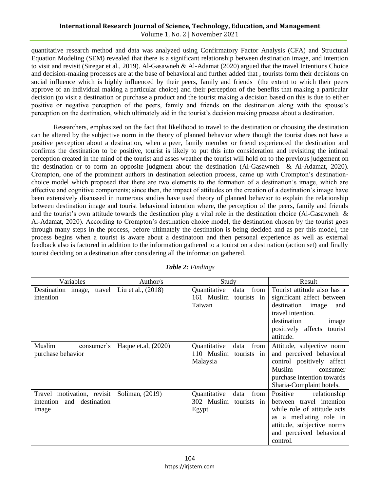quantitative research method and data was analyzed using Confirmatory Factor Analysis (CFA) and Structural Equation Modeling (SEM) revealed that there is a significant relationship between destination image, and intention to visit and revisit (Siregar et al., 2019). Al-Gasawneh & Al-Adamat (2020) argued that the travel Intentions Choice and decision-making processes are at the base of behavioral and further added that , tourists form their decisions on social influence which is highly influenced by their peers, family and friends (the extent to which their peers approve of an individual making a particular choice) and their perception of the benefits that making a particular decision (to visit a destination or purchase a product and the tourist making a decision based on this is due to either positive or negative perception of the peers, family and friends on the destination along with the spouse's perception on the destination, which ultimately aid in the tourist's decision making process about a destination.

Researchers, emphasized on the fact that likelihood to travel to the destination or choosing the destination can be altered by the subjective norm in the theory of planned behavior where though the tourist does not have a positive perception about a destination, when a peer, family member or friend experienced the destination and confirms the destination to be positive, tourist is likely to put this into consideration and revisiting the intimal perception created in the mind of the tourist and asses weather the tourist will hold on to the previous judgement on the destination or to form an opposite judgment about the destination (Al-Gasawneh & Al-Adamat, 2020). Crompton, one of the prominent authors in destination selection process, came up with Crompton's destinationchoice model which proposed that there are two elements to the formation of a destination's image, which are affective and cognitive components; since then, the impact of attitudes on the creation of a destination's image have been extensively discussed in numerous studies have used theory of planned behavior to explain the relationship between destination image and tourist behavioral intention where, the perception of the peers, family and friends and the tourist's own attitude towards the destination play a vital role in the destination choice (Al-Gasawneh & Al-Adamat, 2020). According to Crompton's destination choice model, the destination chosen by the tourist goes through many steps in the process, before ultimately the destination is being decided and as per this model, the process begins when a tourist is aware about a destinatoon and then personal experience as well as external feedback also is factored in addition to the information gathered to a touirst on a destination (action set) and finally tourist deciding on a destination after considering all the information gathered.

| Variables                                                        | Author/s              | Study                                                                   | Result                                                                                                                                                                              |
|------------------------------------------------------------------|-----------------------|-------------------------------------------------------------------------|-------------------------------------------------------------------------------------------------------------------------------------------------------------------------------------|
| travel<br>Destination image,<br>intention                        | Liu et al., (2018)    | Quantitative<br>from<br>data<br>161 Muslim<br>tourists in<br>Taiwan     | Tourist attitude also has a<br>significant affect between<br>destination image<br>and<br>travel intention.<br>destination<br>image<br>positively affects<br>tourist<br>attitude.    |
| Muslim<br>consumer's<br>purchase behavior                        | Haque et.al, $(2020)$ | Quantitative<br>from  <br>data<br>110 Muslim<br>tourists in<br>Malaysia | Attitude, subjective norm<br>and perceived behavioral<br>control positively affect<br>Muslim<br>consumer<br>purchase intention towards<br>Sharia-Complaint hotels.                  |
| Travel motivation, revisit<br>intention and destination<br>image | Soliman, (2019)       | Quantitative<br>from<br>data<br>302 Muslim<br>tourists in<br>Egypt      | Positive<br>relationship<br>between travel intention<br>while role of attitude acts<br>as a mediating role in<br>attitude, subjective norms<br>and perceived behavioral<br>control. |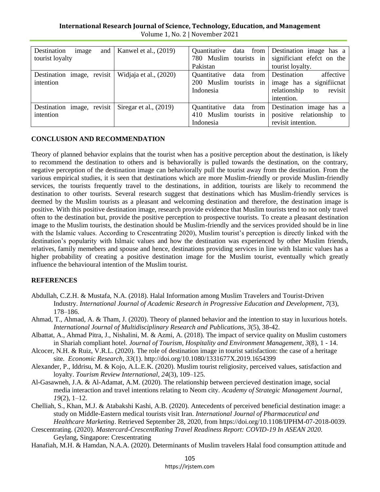| and<br>Destination<br>image<br>tourist loyalty | Kanwel et al., $(2019)$  | Quantitative data from<br>780 Muslim tourists in<br>Pakistan        | Destination image has a<br>significiant efefct on the<br>tourist loyalty.                          |
|------------------------------------------------|--------------------------|---------------------------------------------------------------------|----------------------------------------------------------------------------------------------------|
| Destination image, revisit<br>intention        | Widjaja et al., (2020)   | Quantitative<br>data<br>from<br>200 Muslim tourists in<br>Indonesia | Destination<br>affective<br>image has a significant<br>revisit<br>relationship<br>to<br>intention. |
| Destination image, revisit<br>intention        | Siregar et al., $(2019)$ | Quantitative<br>data from<br>410 Muslim tourists in<br>Indonesia    | Destination image has a<br>positive relationship<br>to<br>revisit intention.                       |

# **CONCLUSION AND RECOMMENDATION**

Theory of planned behavior explains that the tourist when has a positive perception about the destination, is likely to recommend the destination to others and is behaviorally is pulled towards the destination, on the contrary, negative perception of the destination image can behaviorally pull the tourist away from the destination. From the various empirical studies, it is seen that destinations which are more Muslim-friendly or provide Muslim-friendly services, the tourists frequently travel to the destinations, in addition, tourists are likely to recommend the destination to other tourists. Several research suggest that destinations which has Muslim-friendly services is deemed by the Muslim tourists as a pleasant and welcoming destination and therefore, the destination image is positive. With this positive destination image, research provide evidence that Muslim tourists tend to not only travel often to the destination but, provide the positive perception to prospective tourists. To create a pleasant destination image to the Muslim tourists, the destination should be Muslim-friendly and the services provided should be in line with the Islamic values. According to Crescentrating 2020), Muslim tourist's perception is directly linked with the destination's popularity with Islmaic values and how the destination was experienced by other Muslim friends, relatives, family memebers and spouse and hence, destinations providing services in line with Islamic values has a higher probability of creating a positive destination image for the Muslim tourist, eventually which greatly influence the behavioural intention of the Muslim tourist.

### **REFERENCES**

- Abdullah, C.Z.H. & Mustafa, N.A. (2018). Halal Information among Muslim Travelers and Tourist-Driven Industry. *International Journal of Academic Research in Progressive Education and Development*, *7*(3), 178–186.
- Ahmad, T., Ahmad, A. & Tham, J. (2020). Theory of planned behavior and the intention to stay in luxurious hotels. *International Journal of Multidisciplinary Research and Publications, 3*(5), 38-42.
- Albattat, A., Ahmad Pitra, J., Nishalini, M. & Azmi, A. (2018). The impact of service quality on Muslim customers in Shariah compliant hotel. *Journal of Tourism, Hospitality and Environment Management*, *3*(8), 1 - 14.
- Alcocer, N.H. & Ruiz, V.R.L. (2020). The role of destination image in tourist satisfaction: the case of a heritage site. *Economic Research*, *33*(1). http://doi.org[/10.1080/1331677X.2019.1654399](https://doi.org/10.1080/1331677X.2019.1654399)
- Alexander, P., Iddrisu, M. & Kojo, A.L.E.K. (2020). Muslim tourist religiosity, perceived values, satisfaction and loyalty. *Tourism Review International*, *24*(3), 109–125.
- Al-Gasawneh, J.A. & Al-Adamat, A.M. (2020). The relationship between percieved destination image, social media interaction and travel intentions relating to Neom city. *Academy of Strategic Management Journal*, *19*(2), 1–12.
- Chelliah, S., Khan, M.J. & Atabakshi Kashi, A.B. (2020). Antecedents of perceived beneficial destination image: a study on Middle-Eastern medical tourists visit Iran. *International Journal of Pharmaceutical and Healthcare Marketing*. Retrieved September 28, 2020, from [https://doi.org/10.1108/IJPHM-07-2018-0039.](https://doi.org/10.1108/IJPHM-07-2018-0039)
- Crescentrating. (2020). *Mastercard-CrescentRating Travel Readiness Report: COVID-19 In ASEAN 2020.*  Geylang, Singapore: Crescentrating
- Hanafiah, M.H. & Hamdan, N.A.A. (2020). Determinants of Muslim travelers Halal food consumption attitude and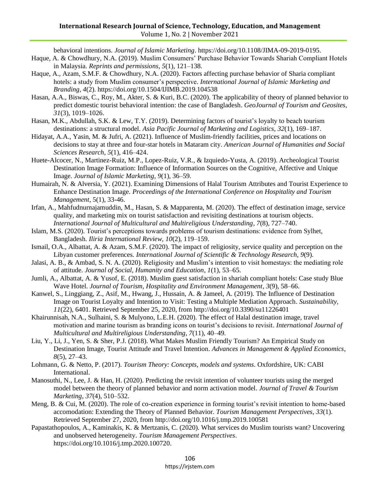behavioral intentions. *Journal of Islamic Marketing*. [https://doi.org/10.1108/JIMA-09-2019-0195.](https://doi.org/10.1108/JIMA-09-2019-0195)

- Haque, A. & Chowdhury, N.A. (2019). Muslim Consumers' Purchase Behavior Towards Shariah Compliant Hotels in Malaysia. *Reprints and permissions*, *5*(1), 121–138.
- Haque, A., Azam, S.M.F. & Chowdhury, N.A. (2020). Factors affecting purchase behavior of Sharia compliant hotels: a study from Muslim consumer's perspective. *International Journal of Islamic Marketing and Branding*, *4*(2).<https://doi.org/10.1504/IJIMB.2019.104538>
- Hasan, A.A., Biswas, C., Roy, M., Akter, S. & Kuri, B.C. (2020). The applicability of theory of planned behavior to predict domestic tourist behavioral intention: the case of Bangladesh. *GeoJournal of Tourism and Geosites*, *31*(3), 1019–1026.
- Hasan, M.K., Abdullah, S.K. & Lew, T.Y. (2019). Determining factors of tourist's loyalty to beach tourism destinations: a structural model. *Asia Pacific Journal of Marketing and Logistics*, *32*(1), 169–187.
- Hidayat, A.A., Yasin, M. & Jufri, A. (2021). Influence of Muslim-friendly facilities, prices and locations on decisions to stay at three and four-star hotels in Mataram city. *American Journal of Humanities and Social Sciences Research*, *5*(1), 416–424.
- Huete-Alcocer, N., Martinez-Ruiz, M.P., Lopez-Ruiz, V.R., & Izquiedo-Yusta, A. (2019). Archeological Tourist Destination Image Formation: Influence of Information Sources on the Cognitive, Affective and Unique Image. *Journal of Islamic Marketing*, *9*(1), 36–59.
- Humairah, N. & Alversia, Y. (2021). Examining Dimensions of Halal Tourism Attributes and Tourist Experience to Enhance Destination Image. *Proceedings of the International Conference on Hospitality and Tourism Management*, 5(1), 33-46.
- Irfan, A., Mahfudnurnajamuddin, M., Hasan, S. & Mapparenta, M. (2020). The effect of destination image, service quality, and marketing mix on tourist satisfaction and revisiting destinations at tourism objects. *International Journal of Multicultural and Multireligious Understanding*, *7*(8), 727–740.
- Islam, M.S. (2020). Tourist's perceptions towards problems of tourism destinations: evidence from Sylhet, Bangladesh. *Iliria International Review*, *10*(2), 119–159.
- Ismail, O.A., Albattat, A. & Azam, S.M.F. (2020). The impact of religiosity, service quality and perception on the Libyan customer preferences. *International Journal of Scientific & Technology Research*, *9*(9).
- Jalasi, A. B., & Ambad, S. N. A. (2020). Religiosity and Muslim's intention to visit homestays: the mediating role of attitude. *Journal of Social, Humanity and Education*, *1*(1), 53–65.
- Jumli, A., Albattat, A. & Yusof, E. (2018). Muslim guest satisfaction in shariah compliant hotels: Case study Blue Wave Hotel. *Journal of Tourism, Hospitality and Environment Management*, *3*(9), 58–66.
- Kanwel, S., Linggiang, Z., Asif, M., Hwang, J., Hussain, A. & Jameel, A. (2019). The Influence of Destination Image on Tourist Loyalty and Intention to Visit: Testing a Multiple Mediation Approach. *Sustainability*, *11*(22), 6401. Retrieved September 25, 2020, from <http://doi.org/10.3390/su11226401>
- Khairunnisah, N.A., Sulhaini, S. & Mulyono, L.E.H. (2020). The effect of Halal destination image, travel motivation and marine tourism as branding icons on tourist's decisions to revisit. *International Journal of Multicultural and Multireligious Understanding*, *7*(11), 40–49.
- Liu, Y., Li, J., Yen, S. & Sher, P.J. (2018). What Makes Muslim Friendly Tourism? An Empirical Study on Destination Image, Tourist Attitude and Travel Intention. *Advances in Management & Applied Economics*, *8*(5), 27–43.
- Lohmann, G. & Netto, P. (2017). *Tourism Theory: Concepts, models and systems*. Oxfordshire, UK: CABI International.
- Manosuthi, N., Lee, J. & Han, H. (2020). Predicting the revisit intention of volunteer tourists using the merged model between the theory of planned behavior and norm activation model. *Journal of Travel & Tourism Marketing*, *37*(4), 510–532.
- Meng, B. & Cui, M. (2020). The role of co-creation experience in forming tourist's revisit intention to home-based accomodation: Extending the Theory of Planned Behavior. *Tourism Management Perspectives*, *33*(1). Retrieved September 27, 2020, from <http://doi.org/10.1016/j.tmp.2019.100581>
- Papastathopoulos, A., Kaminakis, K. & Mertzanis, C. (2020). What services do Muslim tourists want? Uncovering and unobserved heterogeneity. *Tourism Management Perspectives*. [https://doi.org/10.1016/j.tmp.2020.100720.](https://doi.org/10.1016/j.tmp.2020.100720)